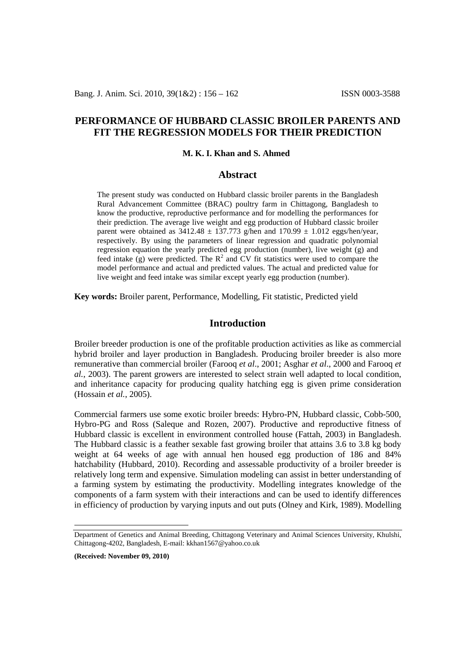# **PERFORMANCE OF HUBBARD CLASSIC BROILER PARENTS AND FIT THE REGRESSION MODELS FOR THEIR PREDICTION**

#### **M. K. I. Khan and S. Ahmed**

## **Abstract**

The present study was conducted on Hubbard classic broiler parents in the Bangladesh Rural Advancement Committee (BRAC) poultry farm in Chittagong, Bangladesh to know the productive, reproductive performance and for modelling the performances for their prediction. The average live weight and egg production of Hubbard classic broiler parent were obtained as  $3412.48 \pm 137.773$  g/hen and  $170.99 \pm 1.012$  eggs/hen/year, respectively. By using the parameters of linear regression and quadratic polynomial regression equation the yearly predicted egg production (number), live weight (g) and feed intake  $(g)$  were predicted. The  $R^2$  and CV fit statistics were used to compare the model performance and actual and predicted values. The actual and predicted value for live weight and feed intake was similar except yearly egg production (number).

**Key words:** Broiler parent, Performance, Modelling, Fit statistic, Predicted yield

# **Introduction**

Broiler breeder production is one of the profitable production activities as like as commercial hybrid broiler and layer production in Bangladesh. Producing broiler breeder is also more remunerative than commercial broiler (Farooq *et al*., 2001; Asghar *et al*., 2000 and Farooq *et al.*, 2003). The parent growers are interested to select strain well adapted to local condition, and inheritance capacity for producing quality hatching egg is given prime consideration (Hossain *et al.*, 2005).

Commercial farmers use some exotic broiler breeds: Hybro-PN, Hubbard classic, Cobb-500, Hybro-PG and Ross (Saleque and Rozen, 2007). Productive and reproductive fitness of Hubbard classic is excellent in environment controlled house (Fattah, 2003) in Bangladesh. The Hubbard classic is a feather sexable fast growing broiler that attains 3.6 to 3.8 kg body weight at 64 weeks of age with annual hen housed egg production of 186 and 84% hatchability (Hubbard, 2010). Recording and assessable productivity of a broiler breeder is relatively long term and expensive. Simulation modeling can assist in better understanding of a farming system by estimating the productivity. Modelling integrates knowledge of the components of a farm system with their interactions and can be used to identify differences in efficiency of production by varying inputs and out puts (Olney and Kirk, 1989). Modelling

**(Received: November 09, 2010)**

 $\overline{a}$ 

<span id="page-0-0"></span>Department of Genetics and Animal Breeding, Chittagong Veterinary and Animal Sciences University, Khulshi, Chittagong-4202, Bangladesh, E-mail: [kkhan1567@yahoo.co.uk](mailto:kkhan1567@yahoo.co.uk)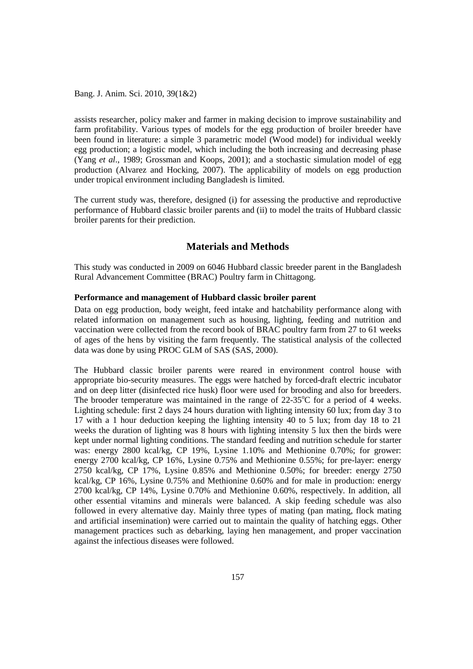Bang. J. Anim. Sci. 2010, 39(1&2)

assists researcher, policy maker and farmer in making decision to improve sustainability and farm profitability. Various types of models for the egg production of broiler breeder have been found in literature: a simple 3 parametric model (Wood model) for individual weekly egg production; a logistic model, which including the both increasing and decreasing phase (Yang *et al*., 1989; Grossman and Koops, 2001); and a stochastic simulation model of egg production (Alvarez and Hocking, 2007). The applicability of models on egg production under tropical environment including Bangladesh is limited.

The current study was, therefore, designed (i) for assessing the productive and reproductive performance of Hubbard classic broiler parents and (ii) to model the traits of Hubbard classic broiler parents for their prediction.

# **Materials and Methods**

This study was conducted in 2009 on 6046 Hubbard classic breeder parent in the Bangladesh Rural Advancement Committee (BRAC) Poultry farm in Chittagong.

### **Performance and management of Hubbard classic broiler parent**

Data on egg production, body weight, feed intake and hatchability performance along with related information on management such as housing, lighting, feeding and nutrition and vaccination were collected from the record book of BRAC poultry farm from 27 to 61 weeks of ages of the hens by visiting the farm frequently. The statistical analysis of the collected data was done by using PROC GLM of SAS (SAS, 2000).

The Hubbard classic broiler parents were reared in environment control house with appropriate bio-security measures. The eggs were hatched by forced-draft electric incubator and on deep litter (disinfected rice husk) floor were used for brooding and also for breeders. The brooder temperature was maintained in the range of  $22-35^{\circ}$ C for a period of 4 weeks. Lighting schedule: first 2 days 24 hours duration with lighting intensity 60 lux; from day 3 to 17 with a 1 hour deduction keeping the lighting intensity 40 to 5 lux; from day 18 to 21 weeks the duration of lighting was 8 hours with lighting intensity 5 lux then the birds were kept under normal lighting conditions. The standard feeding and nutrition schedule for starter was: energy 2800 kcal/kg, CP 19%, Lysine 1.10% and Methionine 0.70%; for grower: energy 2700 kcal/kg, CP 16%, Lysine 0.75% and Methionine 0.55%; for pre-layer: energy 2750 kcal/kg, CP 17%, Lysine 0.85% and Methionine 0.50%; for breeder: energy 2750 kcal/kg, CP 16%, Lysine 0.75% and Methionine 0.60% and for male in production: energy 2700 kcal/kg, CP 14%, Lysine 0.70% and Methionine 0.60%, respectively. In addition, all other essential vitamins and minerals were balanced. A skip feeding schedule was also followed in every alternative day. Mainly three types of mating (pan mating, flock mating and artificial insemination) were carried out to maintain the quality of hatching eggs. Other management practices such as debarking, laying hen management, and proper vaccination against the infectious diseases were followed.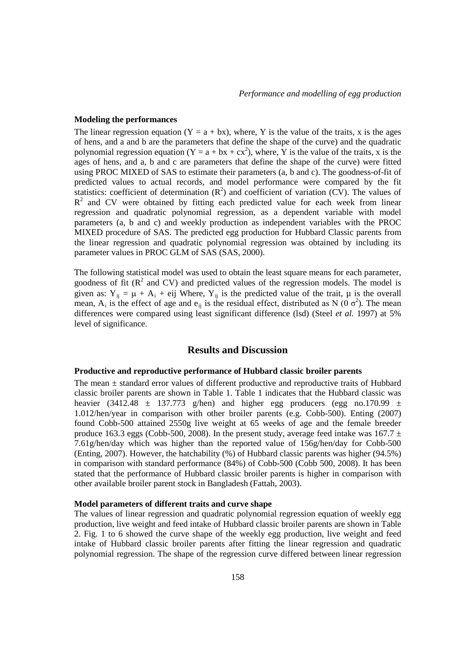#### **Modeling the performances**

The linear regression equation  $(Y = a + bx)$ , where, Y is the value of the traits, x is the ages of hens, and a and b are the parameters that define the shape of the curve) and the quadratic polynomial regression equation (Y = a + bx + cx<sup>2</sup>), where, Y is the value of the traits, x is the ages of hens, and a, b and c are parameters that define the shape of the curve) were fitted using PROC MIXED of SAS to estimate their parameters (a, b and c). The goodness-of-fit of predicted values to actual records, and model performance were compared by the fit statistics: coefficient of determination  $(R^2)$  and coefficient of variation (CV). The values of  $R<sup>2</sup>$  and CV were obtained by fitting each predicted value for each week from linear regression and quadratic polynomial regression, as a dependent variable with model parameters (a, b and c) and weekly production as independent variables with the PROC MIXED procedure of SAS. The predicted egg production for Hubbard Classic parents from the linear regression and quadratic polynomial regression was obtained by including its parameter values in PROC GLM of SAS (SAS, 2000).

The following statistical model was used to obtain the least square means for each parameter, goodness of fit  $(R^2 \text{ and CV})$  and predicted values of the regression models. The model is given as:  $Y_{ii} = \mu + A_i + \text{eij}$  Where,  $Y_{ii}$  is the predicted value of the trait,  $\mu$  is the overall mean,  $A_i$  is the effect of age and  $e_{ij}$  is the residual effect, distributed as N (0  $\sigma^2$ ). The mean differences were compared using least significant difference (lsd) (Steel *et al.* 1997) at 5% level of significance.

## **Results and Discussion**

## **Productive and reproductive performance of Hubbard classic broiler parents**

The mean ± standard error values of different productive and reproductive traits of Hubbard classic broiler parents are shown in Table 1. Table 1 indicates that the Hubbard classic was heavier (3412.48  $\pm$  137.773 g/hen) and higher egg producers (egg no.170.99  $\pm$ 1.012/hen/year in comparison with other broiler parents (e.g. Cobb-500). Enting (2007) found Cobb-500 attained 2550g live weight at 65 weeks of age and the female breeder produce 163.3 eggs (Cobb-500, 2008). In the present study, average feed intake was 167.7  $\pm$ 7.61g/hen/day which was higher than the reported value of 156g/hen/day for Cobb-500 (Enting, 2007). However, the hatchability (%) of Hubbard classic parents was higher (94.5%) in comparison with standard performance (84%) of Cobb-500 (Cobb 500, 2008). It has been stated that the performance of Hubbard classic broiler parents is higher in comparison with other available broiler parent stock in Bangladesh (Fattah, 2003).

### **Model parameters of different traits and curve shape**

The values of linear regression and quadratic polynomial regression equation of weekly egg production, live weight and feed intake of Hubbard classic broiler parents are shown in Table 2. Fig. 1 to 6 showed the curve shape of the weekly egg production, live weight and feed intake of Hubbard classic broiler parents after fitting the linear regression and quadratic polynomial regression. The shape of the regression curve differed between linear regression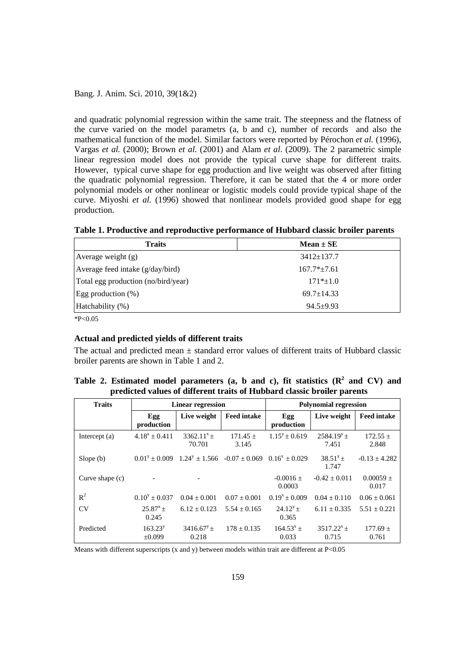Bang. J. Anim. Sci. 2010, 39(1&2)

and quadratic polynomial regression within the same trait. The steepness and the flatness of the curve varied on the model parametrs (a, b and c), number of records and also the mathematical function of the model. Similar factors were reported by Pérochon *et al.* (1996), Vargas *et al.* (2000); Brown *et al.* (2001) and Alam *et al*. (2009). The 2 parametric simple linear regression model does not provide the typical curve shape for different traits. However, typical curve shape for egg production and live weight was observed after fitting the quadratic polynomial regression. Therefore, it can be stated that the 4 or more order polynomial models or other nonlinear or logistic models could provide typical shape of the curve. Miyoshi *et al.* (1996) showed that nonlinear models provided good shape for egg production.

| Table 1. Productive and reproductive performance of Hubbard classic broiler parents |  |  |  |  |
|-------------------------------------------------------------------------------------|--|--|--|--|
|-------------------------------------------------------------------------------------|--|--|--|--|

| <b>Traits</b>                       | $Mean \pm SE$    |
|-------------------------------------|------------------|
| Average weight $(g)$                | $3412 \pm 137.7$ |
| Average feed intake $(g/day/bird)$  | $167.7*+7.61$    |
| Total egg production (no/bird/year) | $171*+1.0$       |
| Egg production $(\%)$               | $69.7 \pm 14.33$ |
| Hatchability (%)                    | $94.5 + 9.93$    |

 $*P<0.05$ 

### **Actual and predicted yields of different traits**

The actual and predicted mean  $\pm$  standard error values of different traits of Hubbard classic broiler parents are shown in Table 1 and 2.

|                                                                         | Table 2. Estimated model parameters (a, b and c), fit statistics $(R^2 \text{ and } CV)$ and |  |  |  |  |  |  |  |  |
|-------------------------------------------------------------------------|----------------------------------------------------------------------------------------------|--|--|--|--|--|--|--|--|
| predicted values of different traits of Hubbard classic broiler parents |                                                                                              |  |  |  |  |  |  |  |  |

| <b>Traits</b>     | <b>Linear regression</b> |                                                                     |                     | <b>Polynomial regression</b> |                          |                        |  |
|-------------------|--------------------------|---------------------------------------------------------------------|---------------------|------------------------------|--------------------------|------------------------|--|
|                   | Egg<br>production        | Live weight                                                         | <b>Feed intake</b>  | Egg<br>production            | Live weight              | <b>Feed intake</b>     |  |
| Intercept $(a)$   | $4.18^x + 0.411$         | $3362.11^{x} +$<br>70.701                                           | $171.45 +$<br>3.145 | $1.15^{y} + 0.619$           | $2584.19^{y}+$<br>7.451  | $172.55 \pm$<br>2.848  |  |
| Slope(b)          | $0.01y + 0.009$          | $1.24^{\circ} \pm 1.566$ $-0.07 \pm 0.069$ $0.16^{\circ} \pm 0.029$ |                     |                              | $38.51^{x}+$<br>1.747    | $-0.13 \pm 4.282$      |  |
| Curve shape $(c)$ |                          |                                                                     |                     | $-0.0016 \pm$<br>0.0003      | $-0.42 + 0.011$          | $0.00059 \pm$<br>0.017 |  |
| $R^2$             | $0.10^{y} + 0.037$       | $0.04 + 0.001$                                                      | $0.07 + 0.001$      | $0.19^{x} + 0.009$           | $0.04 + 0.110$           | $0.06 + 0.061$         |  |
| CV                | $25.87^{x} +$<br>0.245   | $6.12 + 0.123$                                                      | $5.54 + 0.165$      | $24.12^y +$<br>0.365         | $6.11 + 0.335$           | $5.51 \pm 0.221$       |  |
| Predicted         | $163.23^y$<br>±0.099     | $3416.67^y +$<br>0.218                                              | $178 + 0.135$       | $164.53^{x}$ ±<br>0.033      | $3517.22^{x} +$<br>0.715 | $177.69 \pm$<br>0.761  |  |

Means with different superscripts (x and y) between models within trait are different at P<0.05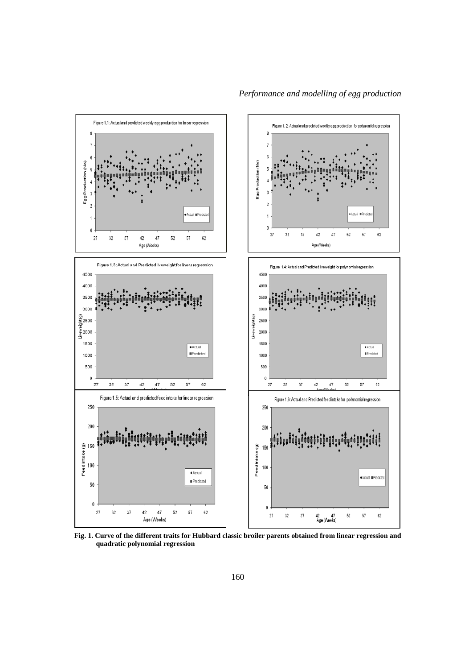

**Fig. 1. Curve of the different traits for Hubbard classic broiler parents obtained from linear regression and quadratic polynomial regression**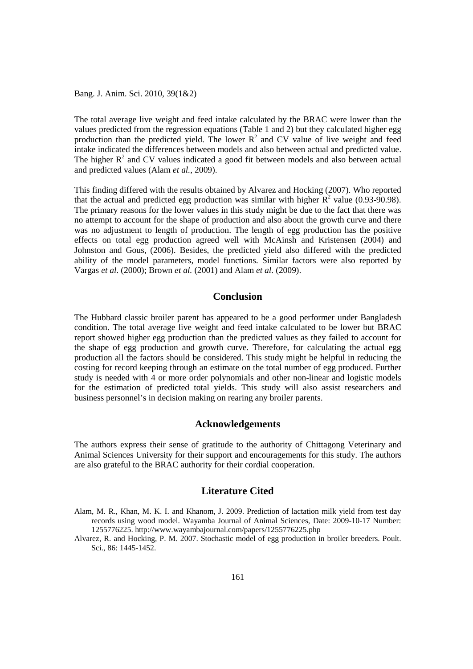Bang. J. Anim. Sci. 2010, 39(1&2)

The total average live weight and feed intake calculated by the BRAC were lower than the values predicted from the regression equations (Table 1 and 2) but they calculated higher egg production than the predicted yield. The lower  $R^2$  and CV value of live weight and feed intake indicated the differences between models and also between actual and predicted value. The higher  $R<sup>2</sup>$  and CV values indicated a good fit between models and also between actual and predicted values (Alam *et al.*, 2009).

This finding differed with the results obtained by Alvarez and Hocking (2007). Who reported that the actual and predicted egg production was similar with higher  $R^2$  value (0.93-90.98). The primary reasons for the lower values in this study might be due to the fact that there was no attempt to account for the shape of production and also about the growth curve and there was no adjustment to length of production. The length of egg production has the positive effects on total egg production agreed well with McAinsh and Kristensen (2004) and Johnston and Gous, (2006). Besides, the predicted yield also differed with the predicted ability of the model parameters, model functions. Similar factors were also reported by Vargas *et al.* (2000); Brown *et al.* (2001) and Alam *et al.* (2009).

## **Conclusion**

The Hubbard classic broiler parent has appeared to be a good performer under Bangladesh condition. The total average live weight and feed intake calculated to be lower but BRAC report showed higher egg production than the predicted values as they failed to account for the shape of egg production and growth curve. Therefore, for calculating the actual egg production all the factors should be considered. This study might be helpful in reducing the costing for record keeping through an estimate on the total number of egg produced. Further study is needed with 4 or more order polynomials and other non-linear and logistic models for the estimation of predicted total yields. This study will also assist researchers and business personnel's in decision making on rearing any broiler parents.

## **Acknowledgements**

The authors express their sense of gratitude to the authority of Chittagong Veterinary and Animal Sciences University for their support and encouragements for this study. The authors are also grateful to the BRAC authority for their cordial cooperation.

# **Literature Cited**

- Alam, M. R., Khan, M. K. I. and Khanom, J. 2009. Prediction of lactation milk yield from test day records using wood model. Wayamba Journal of Animal Sciences, Date: 2009-10-17 Number: 1255776225.<http://www.wayambajournal.com/papers/1255776225.php>
- Alvarez, R. and Hocking, P. M. 2007. Stochastic model of egg production in broiler breeders. Poult. Sci., 86: 1445-1452.